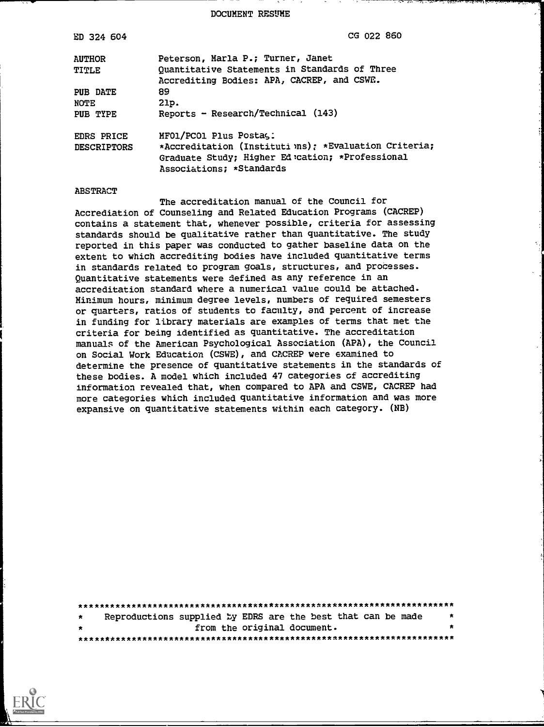DOCUMENT RESUME

| ED 324 604                              | CG 022 860                                                                                                                                                     |
|-----------------------------------------|----------------------------------------------------------------------------------------------------------------------------------------------------------------|
| <b>AUTHOR</b>                           | Peterson, Marla P.; Turner, Janet                                                                                                                              |
| <b>TITLE</b>                            | Quantitative Statements in Standards of Three                                                                                                                  |
|                                         | Accrediting Bodies: APA, CACREP, and CSWE.                                                                                                                     |
| PUB DATE                                | 89                                                                                                                                                             |
| <b>NOTE</b>                             | 21p.                                                                                                                                                           |
| PUB TYPE                                | Reports - Research/Technical (143)                                                                                                                             |
| <b>EDRS PRICE</b><br><b>DESCRIPTORS</b> | MF01/PC01 Plus Postag:<br>*Accreditation (Institutions); *Evaluation Criteria;<br>Graduate Study; Higher Ed :cation; *Professional<br>Associations; *Standards |

#### ABSTRACT

The accreditation manual of the Council for Accrediation of Counseling and Related Education Programs (CACREP) contains a statement that, whenever possible, criteria for assessing standards should be qualitative rather than quantitative. The study reported in this paper was conducted to gather baseline data on the extent to which accrediting bodies have included quantitative terms in standards related to program goals, structures, and processes. Quantitative statements were defined as any reference in an accreditation standard where a numerical value could be attached. Minimum hours, minimum degree levels, numbers of required semesters or quarters, ratios of students to faculty, and percent of increase in funding for library materials are examples of terms that met the criteria for being identified as quantitative. The accreditation manuals of the American Psychological Association (APA), the Council on Social Work Education (CSWE), and CACREP were examined to determine the presence of quantitative statements in the standards of these bodies. A model which included 47 categories of accrediting information revealed that, when compared to APA and CSWE, CACREP had more categories which included quantitative information and was more expansive on quantitative statements within each category. (NB)

| $\star$ | Reproductions supplied by EDRS are the best that can be made |                             |  |  |  |  | 大                    |
|---------|--------------------------------------------------------------|-----------------------------|--|--|--|--|----------------------|
| 大       |                                                              | from the original document. |  |  |  |  | $\ddot{\phantom{a}}$ |
|         |                                                              |                             |  |  |  |  |                      |

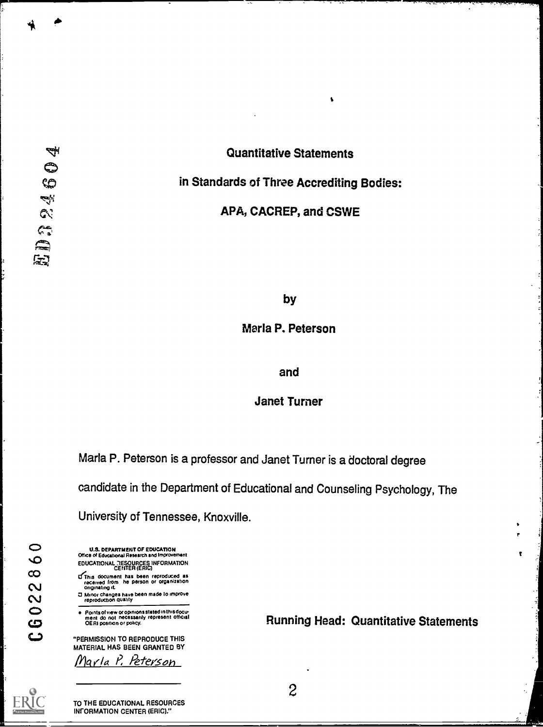# Quantitative Statements in Standards of Three Accrediting Bodies:

# APA, CACREP, and CSWE

by

Marla P. Peterson

#### and

## Janet Turner

Marla P. Peterson is a professor and Janet Turner is a doctoral degree

candidate in the Department of Educational and Counseling Psychology, The

University of Tennessee, Knoxville.

 $\bullet$  $\mathbf 0$  $\infty$  $\mathbf{\Omega}$  $\mathbf{\tilde{c}}$  $\bullet$ ယ د

U.S. DEPARTMENT OF EDUCATION Office of Educational Research and Improve EDUCATIONAL nESOURCES INFORMATION CENTER (ERIC)

- ((This document has been reproduced as received from he person or organization Originating at.
- MinOr changes have been made to improve reproduction Quality

Points ol view or opinions stated in this docu-ment do not netessanly represent Official OE RI posibon or policy.

"PERMISSION TO REPRODUCE THIS MATERIAL HAS BEEN GRANTED BY Marla P. Peterson

Running Head: Quantitative Statements

2



TO THE EDUCATIONAL RESOURCES IKORMATION CENTER (ERIC)."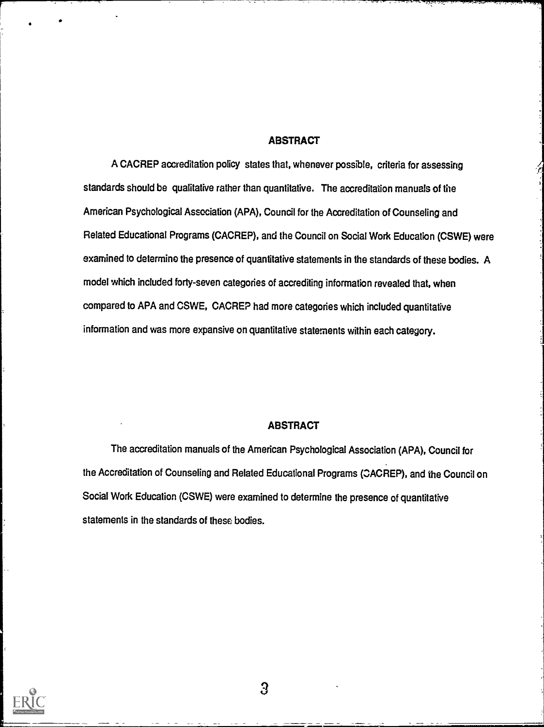#### **ABSTRACT**

A CACREP accreditation policy states that, whenever possible, criteria for assessing standards should be qualitative rather than quantitative. The accreditation manuals of the American Psychological Association (APA), Council for the Accreditation of Counseling and Related Educational Programs (CACREP), and the Council on Social Work Education (CSWE) were examined to determine the presence of quantitative statements in the standards of these bodies. A model which included forty-seven categories of accrediting information revealed that, when compared to APA and CSWE, CACREP had more categories which included quantitative information and was more expansive on quantitative statements within each category.

#### ABSTRACT

The accreditation manuals of the American Psychological Association (APA), Council for the Accreditation of Counseling and Related Educational Programs (OACREP), and the Council on Social Work Education (CSWE) were examined to determine the presence of quantitative statements in the standards of these bodies.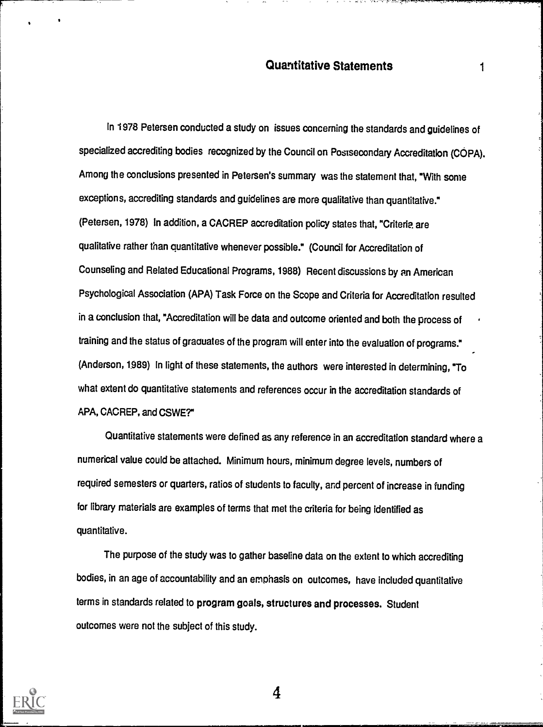In 1978 Petersen conducted a study on issues concerning the standards and guidelines of specialized accrediting bodies recognized by the Council on Postsecondary Accreditation (COPA). Among the conclusions presented in Petersen's summary was the statement that, "With some exceptions, accrediting standards and guidelines are more qualitative than quantitative." (Petersen, 1978) In addition, a CACREP accreditation policy states that, "Criterie. are qualitative rather than quantitative whenever possible." (Council for Accreditation of Counseling and Related Educational Programs, 1988) Recent discussions by an American Psychological Association (APA) Task Force on the Scope and Criteria for Accreditation resulted in a conclusion that, "Accreditation will be data and outcome oriented and both the process of training and the status of graauates of the program will enter into the evaluation of programs." (Anderson, 1989) In light of these statements, the authors were interested in determining, "To what extent do quantitative statements and references occur in the accreditation standards of APA, CACREP, and CSWE?"

Quantitative statements were defined as any reference in an accreditation standard where a numerical value could be attached. Minimum hours, minimum degree levels, numbers of required semesters or quarters, ratios of students to faculty, and percent of increase in funding for library materials are examples of terms that met the criteria for being identified as quantitative.

The purpose of the study was to gather baseline data on the extent to which accrediting bodies, in an age of accountability and an emphasis on outcomes, have included quantitative terms in standards related to program goals, structures and processes. Student outcomes were not the subject of this study.

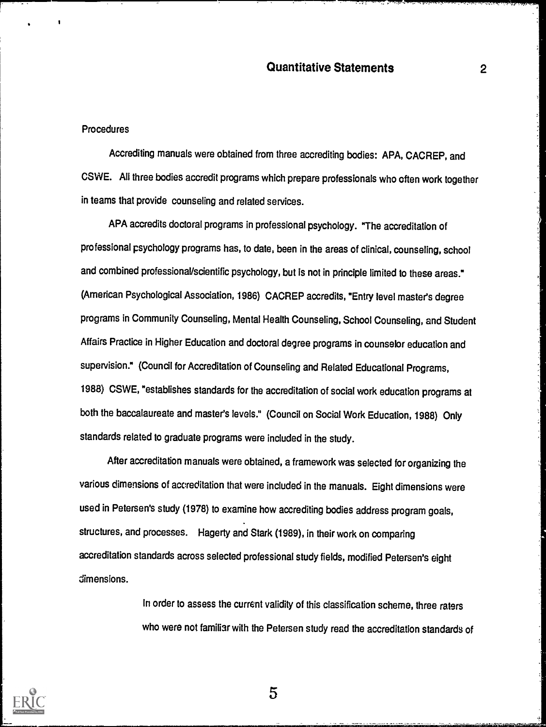#### **Procedures**

Accrediting manuals were obtained from three accrediting bodies: APA, CACREP, and CSWE. All three bodies accredit programs which prepare professionals who often work together in teams that provide counseling and related services.

APA accredits doctoral programs in professional psychology. "The accreditation of professional psychology programs has, to date, been in the areas of clinical, counseling, school and combined professional/scientific psychology, but is not in principle limited to these areas." (American Psychological Association, 1986) CACREP accredits, "Entry level master's degree programs in Community Counseling, Mental Health Counseling, School Counseling, and Student Affairs Practice in Higher Education and doctoral degree programs in counselor education and supervision." (Council for Accreditation of Counseling and Related Educational Programs, 1988) CSWE, "establishes standards for the accreditation of social work education programs at both the baccalaureate and master's levels." (Council on Social Work Education, 1988) Only standards related to graduate programs were included in the study.

After accreditation manuals were obtained, a framework was selected for organizing the various dimensions of accreditation that were included in the manuals. Eight dimensions were used in Petersen's study (1978) to examine how accrediting bodies address program goals, structures, and processes. Hagerty and Stark (1989), in their work on comparing accreditation standards across selected professional study fields, modified Petersen's eight dimensions.

> In order to assess the current validity of this classification scheme, three raters who were not familiar with the Petersen study read the accreditation standards of



5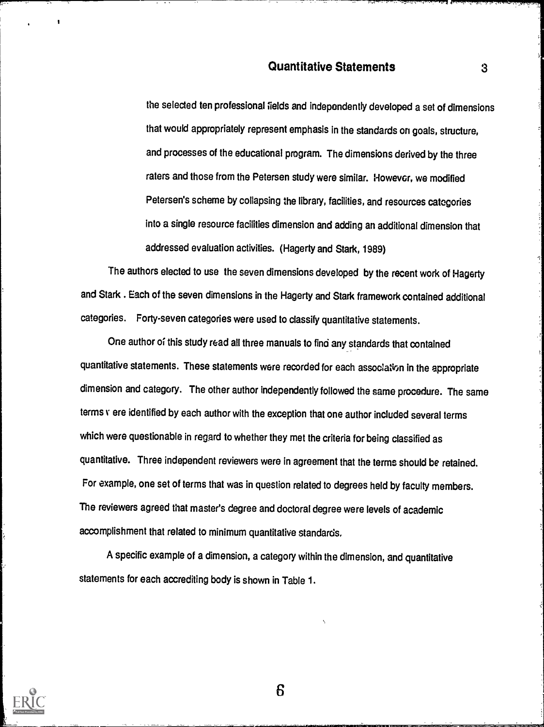the selected ten professional fields and independently developed a set of dimensions that would appropriately represent emphasis in the standards on goals, structure, and processes of the educational program. The dimensions derived by the three raters and those from the Petersen study were similar. However, we modified Petersen's scheme by collapsing the library, facilities, and resources categories into a single resource facilities dimension and adding an additional dimension that addressed evaluation activities. (Hagerty and Stark, 1989)

The authors elected to use the seven dimensions developed by the recent work of Hagerty and Stark . Each of the seven dimensions in the Hagerty and Stark framework contained additional categories. Forty-seven categories were used to classify quantitative statements.

One author of this study read all three manuals to find anystandards that contained quantitative statements. These statements were recorded for each association in the appropriate dimension and category. The other author independently followed the same procedure. The same terms v ere identified by each author with the exception that one author included several terms which were questionable in regard to whether they met the criteria for being classified as quantitative. Three independent reviewers were in agreement that the terms should be retained. For example, one set of terms that was in question related to degrees held by faculty members. The reviewers agreed that master's degree and doctoral degree were levels of academic accomplishment that related to minimum quantitative standards.

A specific example of a dimension, a category within the dimension, and quantitative statements for each accrediting body is shown in Table 1.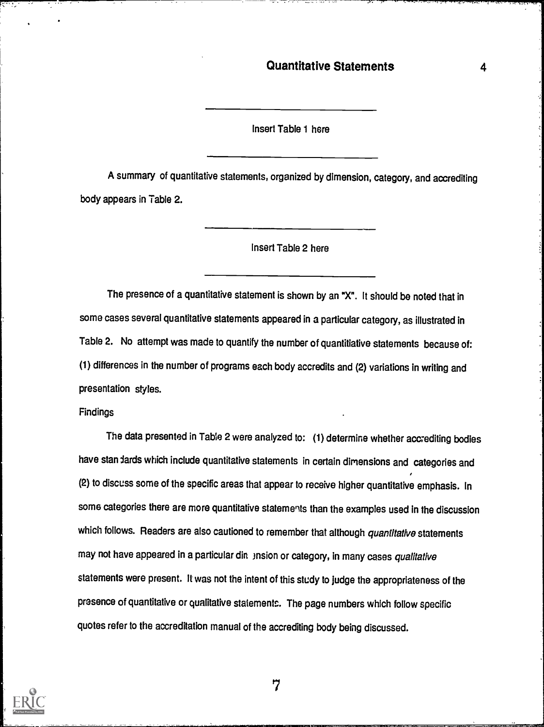4

Insert Table 1 here

A summary of quantitative statements, organized by dimension, category, and accrediting body appears in Table 2.

Insert Table 2 here

The presence of a quantitative statement is shown by an "X". It should be noted that in some cases several quantitative statements appeared in a particular category, as illustrated in Table 2. No attempt was made to quantify the number of quantitiative statements because of: (1) differences in the number of programs each body accredits and (2) variations in writing and presentation styles.

Findings

The data presented in Table 2 were analyzed to: (1) determine whether accrediting bodies have stan dards which include quantitative statements in certain dimensions and categories and  $\epsilon$ (2) to discuss some of the specific areas that appear to receive higher quantitative emphasis. In some categories there are more quantitative statements than the examples used in the discussion which follows. Readers are also cautioned to remember that although quantitative statements may not have appeared in a particular din )nsion or category, in many cases qualitative statements were present. It was not the intent of this study to Judge the appropriateness of the presence of quantitative or qualitative statements. The page numbers which follow specific quotes refer to the accreditation manual of the accrediting body being discussed.

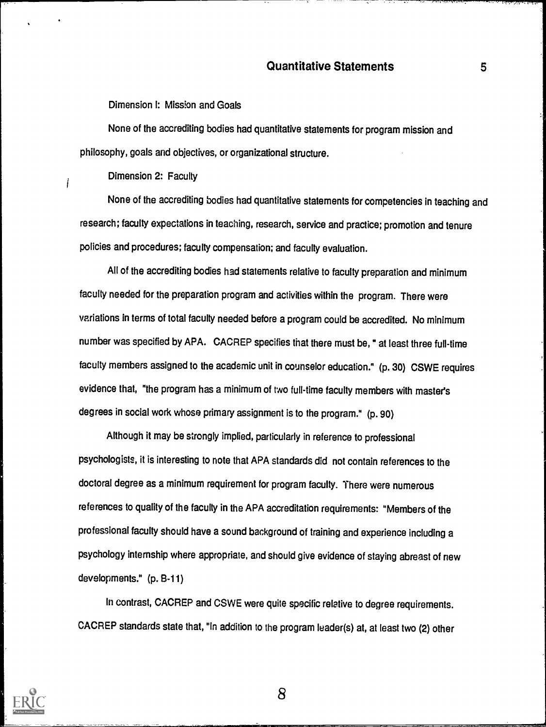Dimension I: Miss:on and Goals

None of the accrediting bodies had quantitative statements for program mission and philosophy, goals and objectives, or organizational structure.

Dimension 2: Faculty

İ

None of the accrediting bodies had quantitative statements for competencies in teaching and research; faculty expectations in teaching, research, service and practice; promotion and tenure policies and procedures; faculty compensation; and faculty evaluation.

All of the accrediting bodies had statements relative to faculty preparation and minimum faculty needed for the preparation program and activities within the program. There were variations in terms of total faculty needed before a program could be accredited. No minimum number was specified by APA. CACREP specifies that there must be, " at least three full-time faculty members assigned to the academic unit in counselor education." (p. 30) CSWE requires evidence that, "the program has a minimum of two full-time faculty members with master's degrees in social work whose primary assignment is to the program." (p. 90)

Although it may be strongly implied, particularly in reference to professional psychologists, it is interesting to note that APA standards did not contain references to the doctoral degree as a minimum requirement for program faculty. There were numerous references to quality of the faculty in the APA accreditation requirements: "Members of the professional faculty should have a sound background of training and experience including a psychology internship where appropriate, and should give evidence of staying abreast of new developments." (p. B-11)

In contrast, CACREP and CSWE were quite specific relative to degree requirements. CACREP standards state that, "In addition to the program leader(s) at, at least two (2) other



<u>.</u> 8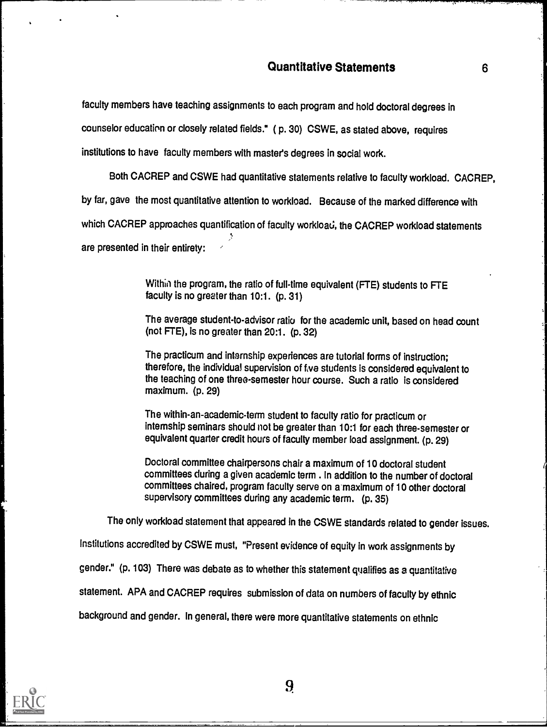faculty members have teaching assignments to each program and hold doctoral degrees in

counselor education or closely related fields." ( p. 30) CSWE, as stated above, requires

institutions to have faculty members with master's degrees in social work.

Both CACREP and CSWE had quantitative statements relative to faculty workload. CACREP,

by far, gave the most quantitative attention to workload. Because of the marked difference with

which CACREP approaches quantification of faculty workload, the CACREP workload statements

are presented in their entirety:

Within the program, the ratio of full-time equivalent (FTE) students to FTE faculty is no greater than 10:1. (p. 31)

The average student-to-advisor ratio for the academic unit, based on head count (not FTE), is no greater than 20:1. (p. 32)

The practicum and internship experiences are tutorial forms of instruction; therefore, the individual supervision of tve students is considered equivalent to the teaching of one three-semester hour course. Such a ratio is considered maximum. (p. 29)

The within-an-academic-term student to faculty ratio for practicum or internship seminars should not be greater than 10:1 for each three-semester or equivalent quarter credit hours of faculty member load assignment. (p. 29)

Doctoral committee chairpersons chair a maximum of 10 doctoral student committees during a given academic term . In addition to the number of doctoral committees chaired, program faculty serve on a maximum of 10 other doctoral supervisory committees during any academic term. (p. 35)

The only workload statement that appeared in the CSWE standards related to gender issues.

Institutions accredited by CSWE must, "Present evidence of equity in work assignments by

gender." (p. 103) There was debate as to whether this statement qqalifies as a quantitative

statement. APA and CACREP requires submission of data on numbers of faculty by ethnic

background and gender. In general, there were more quantitative statements on ethnic

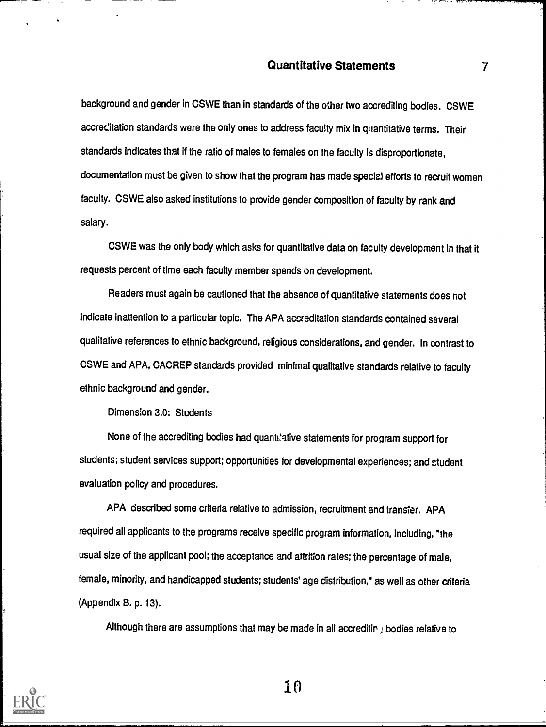background and gender in CSWE than in standards of the other two accrediting bodies. CSWE accreditation standards were the only ones to address faculty mix in quantitative terms. Their standards indicates that if the ratio of males to females on the faculty is disproportionate, documentation must be given to show that the program has made special efforts to recruit women faculty. CSWE also asked institutions to provide gender composition of faculty by rank and salary.

CSWE was the only body which asks for quantitative data on faculty development in that it requests percent of time each faculty member spends on development.

Readers must again be cautioned that the absence of quantitative statements does not indicate inattention to a particular topic. The APA accreditation standards contained several qualitative references to ethnic background, religious considerations, and gender. In contrast to CSWE and APA, CACREP standards provided minimal qualitative standards relative to faculty ethnic background and gender.

Dimension 3.0: Students

None of the accrediting bodies had quantilative statements for program support for students; student services support; opportunities for developmental experiences; and student evaluation policy and procedures.

APA described some criteria relative to admission, recruitment and transfer. APA required all applicants to the programs receive specific program information, including, "the usual size of the applicant pool; the acceptance and attrition rates; the percentage of male, female, minority, and handicapped students; students' age distribution," as well as other criteria (Appendix B. p. 13).

Although there are assumptions that may be made in all accreditin  $\mu$  bodies relative to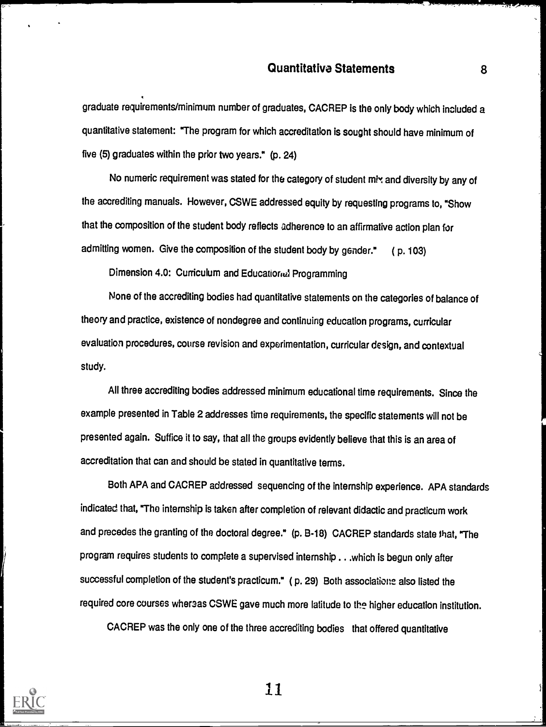graduate requirements/minimum number of graduates, CACREP is the only body which included a quantitative statement: 'The program for which accreditation is sought should have minimum of five (5) graduates within the prior two years." (p. 24)

No numeric requirement was stated for the category of student mix and diversity by any of the accrediting manuals. However, CSWE addressed equity by requesting programs to, "Show that the composition of the student body reflects adherence to an affirmative action plan for admitting women. Give the composition of the student body by gender." ( p. 103)

Dimension 4.0: Curriculum and Educationel Programming

None of the accrediting bodies had quantitative statements on the categories of balance of theory and practice, existence of nondegree and continuing education programs, curricular evaluation procedures, course revision and experimentation, curricular design, and contextual study.

All three accrediting bodies addressed minimum educational time requirements. Since the example presented in Table 2 addresses time requirements, the specific statements will not be presented again. Suffice it to say, that all the groups evidently believe that this is an area of accreditation that can and should be stated in quantitative terms.

Both APA and CACREP addressed sequencing of the internship experience. APA standards indicated that, "The internship is taken after completion of relevant didactic and practicum work and precedes the granting of the doctoral degree." (p. B-18) CACREP standards state that, "The program requires students to complete a supervised internship . . .which is begun only after successful completion of the student's practicum." (p. 29) Both associatione also listed the required core courses whersas CSWE gave much more latitude to the higher education institution.

CACREP was the only one of the three accrediting bodies that offered quantitative



ii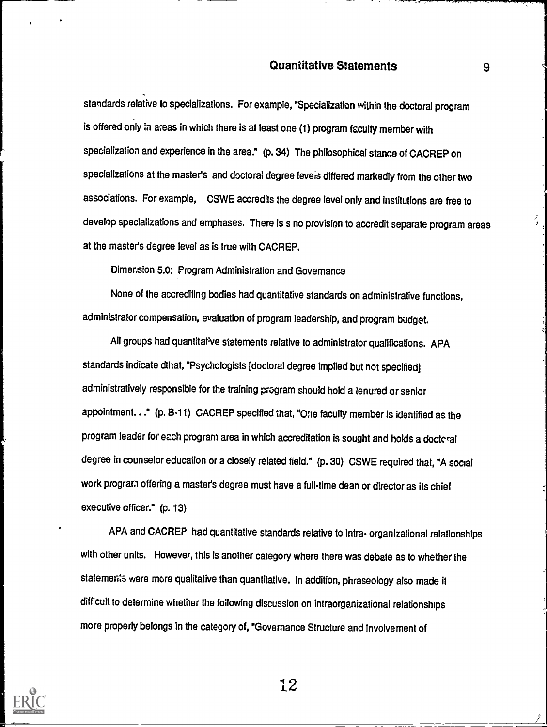standards relative to specializations. For example, "Specialization within the doctoral program is offered only in areas in which there is at least one (1) program faculty member with specialization and experience in the area." (p. 34) The philosophical stance of CACREP on specializations at the master's and doctoral degree levers differed markedly from the other two associations. For example, CSWE accredits the degree level only and institutions are free to develop specializations and emphases. There is s no provision to accredit separate program areas at the master's degree level as is true with CACREP.

Dimension 5.0: Program Administration and Governance

None of the accrediting bodies had quantitative standards on administrative functions, administrator compensation, evaluation of program leadership, and program budget.

All groups had quantitative statements relative to administrator qualifications. APA standards indicate dthat, "Psychologists [doctoral degree implied but not specified] administratively responsible for the training program should hold a tenured or senior appointment..." (p. B-11) CACREP specified that, "One faculty member is identified as the program leader for each program area in which accreditation is sought and holds a doctcral degree in counselor education or a closely related field." (p. 30) CSWE required that, "A social work program offering a master's degree must have a full-time dean or director as its chief executive officer." (p. 13)

APA and CACREP had quantitative standards relative to intra- organizational relationships with other units. However, this is another category where there was debate as to whether the statements were more qualitative than quantitative. In addition, phraseology also made it difficult to determine whether the following discussion on intraorganizational relationships more properly belongs in the category of, "Governance Structure and Involvement of



<sup>1</sup>i2

 $\overline{\phantom{a}}$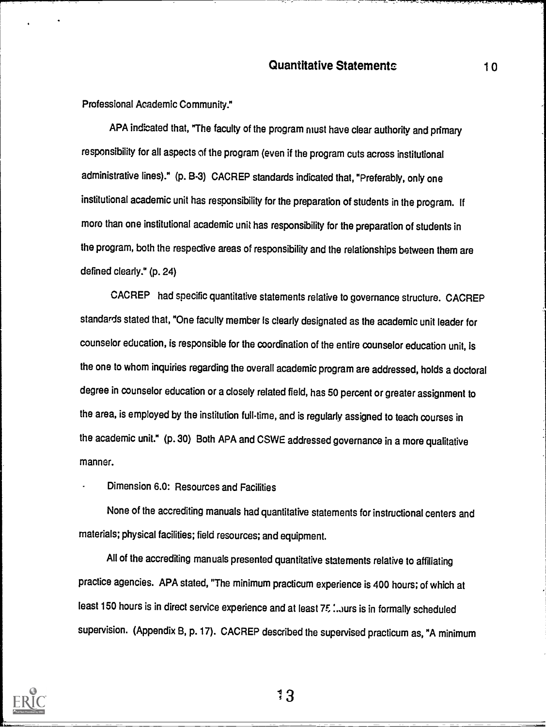Professional Academic Community."

APA indicated that, "The faculty of the program must have clear authority and primary responsibility for all aspects of the program (even if the program cuts across institutional administrative lines)." (p. B-3) CACREP standards indicated that, "Preferably, only one institutional academic unit has responsibility for the preparation of students in the program. If more than one institutional academic unit has responsibility for the preparation of students in the program, both the respective areas of responsibility and the relationships between them are defined clearly." (p. 24)

CACREP had specific quantitative statements relative to governance structure. CACREP standards stated that, "One faculty member Is clearly designated as the academic unit leader for counselor education, is responsible for the coordination of the entire counselor education unit, Is the one to whom inquiries regarding the overall academic program are addressed, holds a doctoral degree in counselor education or a closely related field, has 50 percent or greater assignment to the area, is employed by the institution full-time, and is regularly assigned to teach courses in the academic unit." (p. 30) Both APA and CSWE addressed governance in a more qualitative manner.

Dimension 6.0: Resources and Facilities

None of the accrediting manuals had quantitative statements for instructional centers and materials; physical facilities; field resources; and equipment.

All of the accrediting manuals presented quantitative statements relative to affiliating practice agencies. APA stated, "The minimum practicum experience is 400 hours; of which at least 150 hours is in direct service experience and at least 75 :.. urs is in formally scheduled supervision. (Appendix B, p. 17). CACREP described the supervised practicum as, "A minimum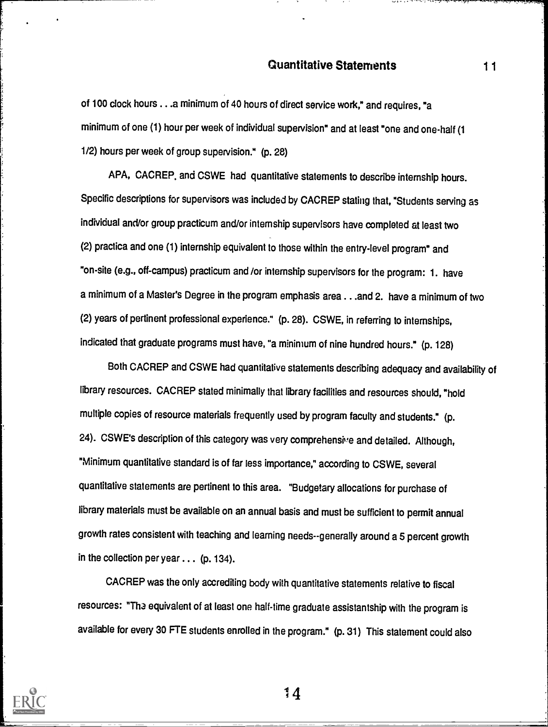of 100 clock hours ...a minimum of 40 hours of direct service work," and requires, "a minimum of one (1) hour per week of individual supervision" and at least "one and one-half (1 1/2) hours per week of group supervision." (p. 28)

APA, CACREP. and CSWE had quantitative statements to describe internship hours. Specific descriptions for supervisors was included by CACREP stating that, "Students serving as individual and/or group practicum and/or internship supervisors have completed at least two (2) practice and one (1) internship equivalent to those within the entry-level program" and "on-site (e.g., off-campus) practicum and /or internship supervisors for the program: 1. have a minimum of a Master's Degree in the program emphasis area ...and 2. have a minimum of two (2) years of pertinent professional experience." (p. 28). CSWE, in referring to intemships, indicated that graduate programs must have, "a minimum of nine hundred hours." (p. 128)

Both CACREP and CSWE had quantitative statements describing adequacy and availability of library resources. CACREP stated minimally that library facilities and resources shouid, "hold multiple copies of resource materials frequently used by program faculty and students." (p. 24). CSWE's description of this category was very comprehensive and detailed. Although, "Minimum quantitative standard is of far less importance," according to CSWE, several quantitative statements are pertinent to this area. "Budgetary allocations for purchase of library materials must be available on an annual basis and must be sufficient to permit annual growth rates consistent with teaching and learning needs--generally around a 5 percent growth in the collection per year ... (p. 134).

CACREP was the only accrediting body with quantitative statements relative to fiscal resources: "Tha equivalent of at least one half-time graduate assistantship with the program is available for every 30 FTE students enrolled in the program." (p. 31) This statement could also

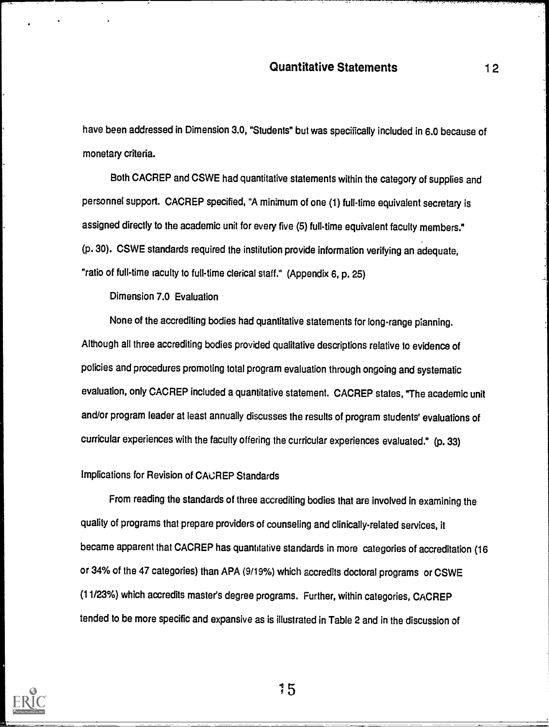have been addressed in Dimension 3.0, "Students" but was specifically included in 6.0 because of monetary criteria.

Both CACREP and CSWE had quantitative statements within the category of supplies and personnel support. CACREP specified, "A minimum of one (1) full-time equivalent secretary is assigned directly to the academic unit for every five (5) full-time equivalent faculty members." (p. 30). CSWE standards required the institution provide information verifying an adequate, "ratio of full-time faculty to full-time clerical staff." (Appendix 6, p. 25)

Dimension 7.0 Evaluation

None of the accrediting bodies had quantitative statements for long-range planning. Although all three accrediting bodies provided qualitative descriplions relative to evidence of policies and procedures promoting total program evaluation through ongoing and systematic evaluation, only CACREP included a quantitative statement. CACREP states, "The academicunit and/or program leader at least annually discusses the results of program students' evaluations of curricular experiences with the faculty offering the curricular experiences evaluated." (p. 33)

#### Implications for Revision of CACREP Standards

From reading the standards of three accrediting bodies that are involved in examining the quality of programs that prepare providers of counseling and clinically-related services, it became apparent that CACREP has quantitative standards in more categories of accreditation (16 or 34% of the 47 categories) than APA (9/19%) which accredits doctoral programs or CSWE (11/23%) which accredits master's degree programs. Further, within categories, CACREP tended to be more specific and expansive as is illustrated in Table 2 and in the discussion of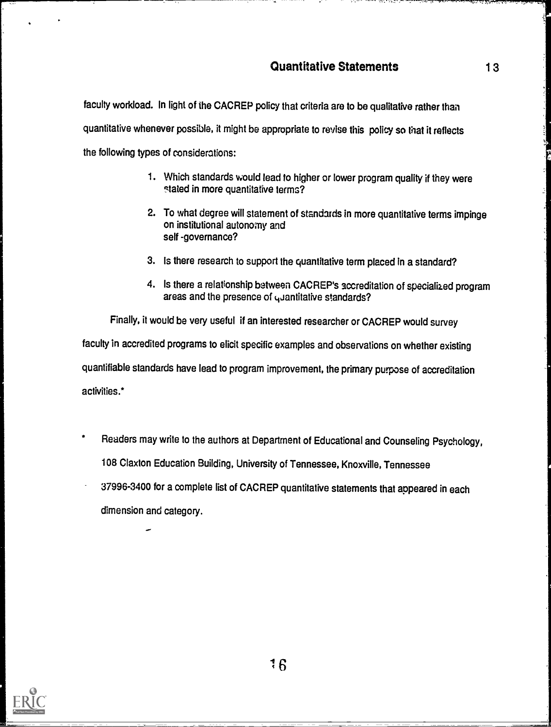faculty workload. In light of the CACREP policy that criteria are to be qualitative rather than quantitative whenever possible, it might be appropriate to revise this policy so that it reflects the following types of considerations:

- 1. Which standards would lead to higher or lower program quality if they were stated in more quantitative terms?
- 2. To what degree will statement of standards in more quantitative terms impinge on institutional autonomy and self -governance?
- 3. Is there research to support the quantitative term placed in a standard?
- 4. Is there a relationship between CACREP's accreditation of specialized program areas and the presence of quantitative standards?

Finally, it would be very useful if an interested researcher or CACREP would survey

faculty in accredited programs to elicit specific examples and observations on whether existing

quantifiable standards have lead to program improvement, the primary purpose of accreditation

activities.\*

- Readers may write to the authors at Department of Educational and Counseling Psychology, 108 Claxton Education Building, University of Tennessee, Knoxville, Tennessee
- 37996-3400 for a complete list of CACREP quantitative statements that appeared in each dimension and category.

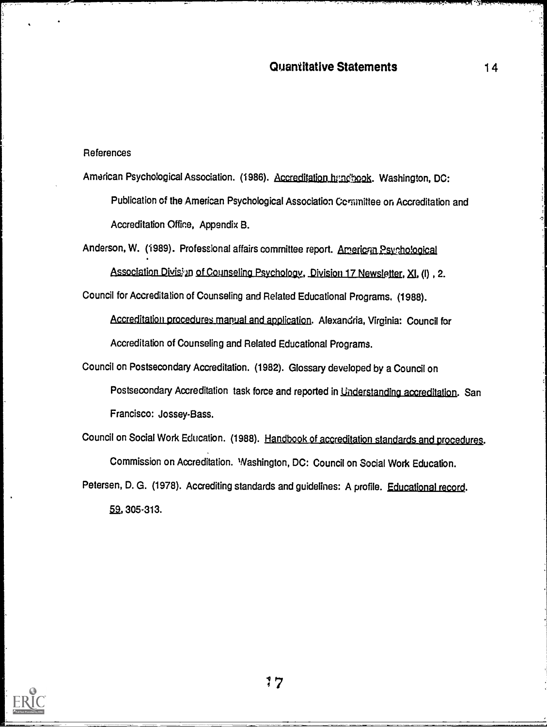#### References

American Psychological Association. (1986). Accreditation.htmchook. Washington, DC: Publication of the American Psychological Association Committee on Accreditation and Accreditation Office, Appendix B.

Anderson, W. (1989). Professional affairs committee report. American Psychological

Association Division of Counseling Psychology, Division 17 Newsletter, XI, (I), 2.

Council for Accreditation of Counseling and Related Educational Programs. (1988).

Accreditation procedures manual and application. Alexandria, Virginia: Council for Accreditation of Counseling and Related Educational Programs.

Council on Postsecondary Accreditation. (1982). Glossary developed by a Council on Postsecondary Accreditation task force and reported in Understanding accreditation. San Francisco: Jossey-Bass.

Council on Social Work Education. (1988). Handbook of accreditation standards and procedures. Commission on Accreditation. Washington, DC: Council on Social Work Education.

Petersen, D. G. (1978). Accrediting standards and guidelines: A profile. Educational record. 59, 305-313.

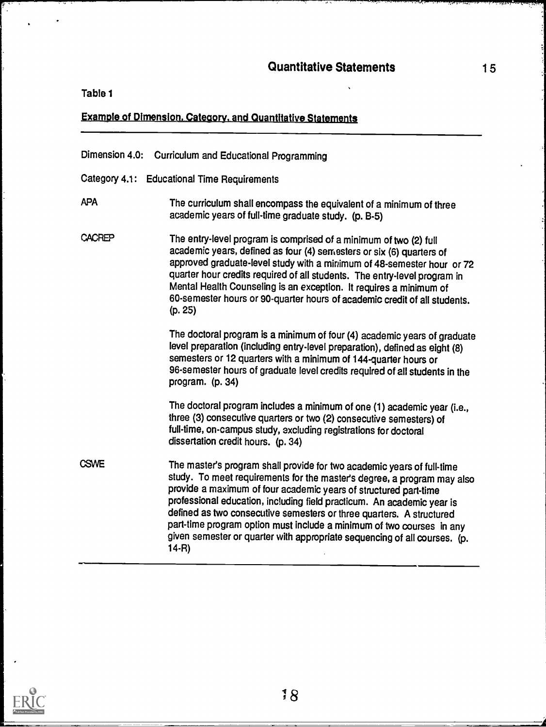Table 1

#### **Example of Dimension, Category, and Quantitative Statements**

#### Dimension 4.0: Curriculum and Educational Programming

Category 4.1: Educational Time Requirements

#### APA The curriculum shall encompass the equivalent of a minimum of three academic years of full-time graduate study. (p. B-5)

CACREP The entry-level program is comprised of a minimum of two (2) full academic years, defined as four (4) semesters or six (6) quarters of approved graduate-level study with a minimum of 48-semester hour or 72 quarter hour credits required of all students. The entry-level program in Mental Health Counseling is an exception. It requires a minimum of 60-semester hours or 90-quarter hours of academic credit of all students. (p. 25)

> The doctoral program is a minimum of four (4) academic years of graduate level preparation (including entry-level preparation), defined as eight (8) semesters or 12 quarters with a minimum of 144-quarter hours or 96-semester hours of graduate level credits required of all students in the program. (p. 34)

The doctoral program includes a minimum of one (1) academic year (i.e., three (3) consecutive quarters or two (2) consecutive semesters) of full-time, on-campus study, excluding registrations for doctoral dissertation credit hours. (p. 34)

**CSW<sub>E</sub>** The master's program shall provide for two academic years of full-time study. To meet requirements for the master's degree, a program may also provide a maximum of four academic years of structured part-time professional education, including field practicum. An academic year is defined as two consecutive semesters or three quarters. A structured part-time program option must include a minimum of two courses in any given semester or quarter with appropriate sequencing of all courses. (p. 14-R)

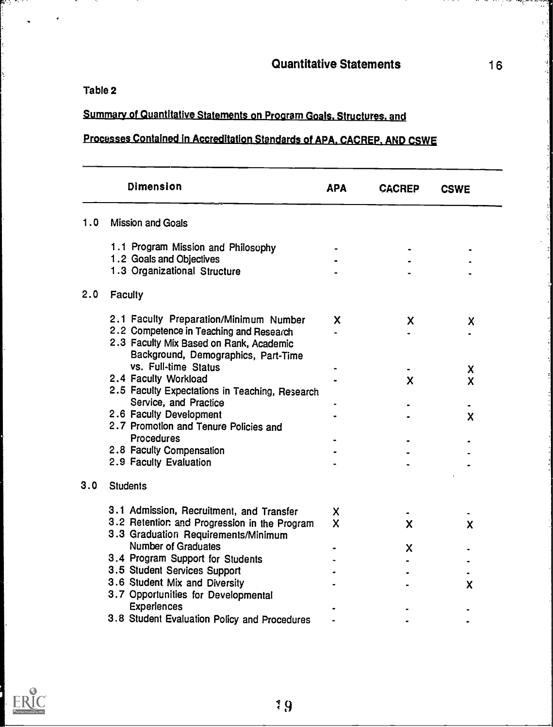Table 2

85 Y.H.

Į.

 $\cdot$ 

#### <u>mmary of Quantitative Statements on Program Goals. Structur</u>

# Processes Contained in Accreditation Standards of APA, CACREP, AND CSWE

|     | Dimension                                                                      | <b>APA</b> | <b>CACREP</b> | <b>CSWE</b>               |
|-----|--------------------------------------------------------------------------------|------------|---------------|---------------------------|
| 1.0 | <b>Mission and Goals</b>                                                       |            |               |                           |
|     | 1.1 Program Mission and Philosophy                                             |            |               |                           |
|     | 1.2 Goals and Objectives                                                       |            |               |                           |
|     | 1.3 Organizational Structure                                                   |            |               |                           |
| 2.0 | Faculty                                                                        |            |               |                           |
|     | 2.1 Faculty Preparation/Minimum Number                                         | X          | X             | X                         |
|     | 2.2 Competence in Teaching and Research                                        |            |               |                           |
|     | 2.3 Faculty Mix Based on Rank, Academic<br>Background, Demographics, Part-Time |            |               |                           |
|     | vs. Full-time Status                                                           |            |               | X                         |
|     | 2.4 Faculty Workload                                                           |            | $\mathbf x$   | $\boldsymbol{\mathsf{x}}$ |
|     | 2.5 Faculty Expectations in Teaching, Research                                 |            |               |                           |
|     | Service, and Practice                                                          |            |               |                           |
|     | 2.6 Faculty Development<br>2.7 Promotion and Tenure Policies and               |            |               | X                         |
|     | Procedures                                                                     |            |               |                           |
|     | 2.8 Faculty Compensation                                                       |            |               |                           |
|     | 2.9 Faculty Evaluation                                                         |            |               |                           |
| 3.0 | <b>Students</b>                                                                |            |               |                           |
|     | 3.1 Admission, Recruitment, and Transfer                                       | X          |               |                           |
|     | 3.2 Retention and Progression in the Program                                   | X          | $\mathbf x$   | X                         |
|     | 3.3 Graduation Requirements/Minimum                                            |            |               |                           |
|     | Number of Graduates                                                            |            | X             |                           |
|     | 3.4 Program Support for Students                                               |            |               |                           |
|     | 3.5 Student Services Support                                                   |            |               |                           |
|     | 3.6 Student Mix and Diversity                                                  |            |               | $\boldsymbol{\mathsf{x}}$ |
|     | 3.7 Opportunities for Developmental                                            |            |               |                           |
|     | <b>Experiences</b>                                                             |            |               |                           |
|     | 3.8 Student Evaluation Policy and Procedures                                   |            |               |                           |



 $\sim$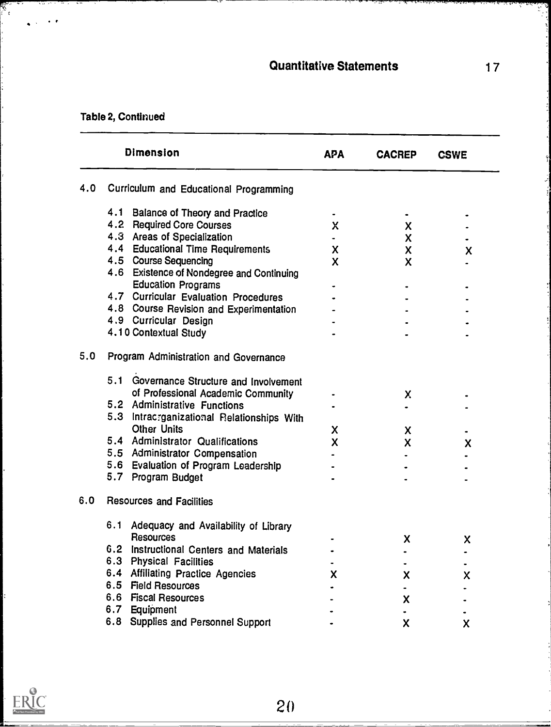# Table 2, Continued

in a

 $\mathbb{R}^{\mathbb{Z}}$ 

|     | <b>Dimension</b>                       |                                            | <b>APA</b> | <b>CACREP</b>                  | <b>CSWE</b> |  |
|-----|----------------------------------------|--------------------------------------------|------------|--------------------------------|-------------|--|
| 4.0 | Curriculum and Educational Programming |                                            |            |                                |             |  |
|     |                                        | 4.1 Balance of Theory and Practice         |            |                                |             |  |
|     |                                        | 4.2 Required Core Courses                  | Χ          | X                              |             |  |
|     |                                        | 4.3 Areas of Specialization                |            | X                              |             |  |
|     |                                        | 4.4 Educational Time Requirements          | X          | X                              | X           |  |
|     |                                        | 4.5 Course Sequencing                      | X          | X                              |             |  |
|     |                                        | 4.6 Existence of Nondegree and Continuing  |            |                                |             |  |
|     |                                        | <b>Education Programs</b>                  |            |                                |             |  |
|     |                                        | 4.7 Curricular Evaluation Procedures       |            |                                |             |  |
|     |                                        | 4.8 Course Revision and Experimentation    |            |                                |             |  |
|     |                                        | 4.9 Curricular Design                      |            |                                |             |  |
|     |                                        | 4.10 Contextual Study                      |            |                                |             |  |
| 5.0 |                                        | Program Administration and Governance      |            |                                |             |  |
|     |                                        | 5.1 Governance Structure and Involvement   |            |                                |             |  |
|     |                                        | of Professional Academic Community         |            |                                |             |  |
|     |                                        | 5.2 Administrative Functions               |            | X                              |             |  |
|     |                                        | 5.3 Intracrganizational Relationships With |            |                                |             |  |
|     |                                        | <b>Other Units</b>                         | X          |                                |             |  |
|     |                                        | 5.4 Administrator Qualifications           | X          | X<br>$\boldsymbol{\mathsf{x}}$ |             |  |
|     |                                        | 5.5 Administrator Compensation             |            |                                | X           |  |
|     |                                        | 5.6 Evaluation of Program Leadership       |            |                                |             |  |
|     |                                        | 5.7 Program Budget                         |            |                                |             |  |
| 6.0 |                                        | <b>Resources and Facilities</b>            |            |                                |             |  |
|     | 6.1                                    |                                            |            |                                |             |  |
|     | <b>Resources</b>                       | Adequacy and Availability of Library       |            |                                |             |  |
|     | 6.2                                    | Instructional Centers and Materials        |            | X                              | X           |  |
|     |                                        | 6.3 Physical Facilities                    |            |                                |             |  |
|     |                                        | 6.4 Affiliating Practice Agencies          |            |                                |             |  |
|     | 6.5 Field Resources                    |                                            | X          | χ                              | X           |  |
|     |                                        | 6.6 Fiscal Resources                       |            |                                |             |  |
|     | 6.7 Equipment                          |                                            |            | X                              |             |  |
|     |                                        |                                            |            |                                |             |  |
|     |                                        | 6.8 Supplies and Personnel Support         |            | X.                             | X.          |  |

V